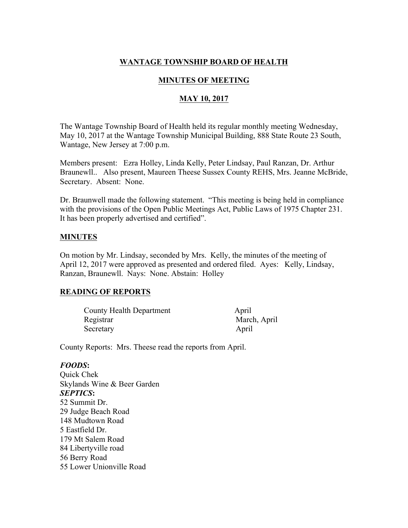# **WANTAGE TOWNSHIP BOARD OF HEALTH**

## **MINUTES OF MEETING**

## **MAY 10, 2017**

The Wantage Township Board of Health held its regular monthly meeting Wednesday, May 10, 2017 at the Wantage Township Municipal Building, 888 State Route 23 South, Wantage, New Jersey at 7:00 p.m.

Members present: Ezra Holley, Linda Kelly, Peter Lindsay, Paul Ranzan, Dr. Arthur Braunewll.. Also present, Maureen Theese Sussex County REHS, Mrs. Jeanne McBride, Secretary. Absent: None.

Dr. Braunwell made the following statement. "This meeting is being held in compliance with the provisions of the Open Public Meetings Act, Public Laws of 1975 Chapter 231. It has been properly advertised and certified".

## **MINUTES**

On motion by Mr. Lindsay, seconded by Mrs. Kelly, the minutes of the meeting of April 12, 2017 were approved as presented and ordered filed. Ayes: Kelly, Lindsay, Ranzan, Braunewll. Nays: None. Abstain: Holley

## **READING OF REPORTS**

| <b>County Health Department</b> | April        |
|---------------------------------|--------------|
| Registrar                       | March, April |
| Secretary                       | April        |

County Reports: Mrs. Theese read the reports from April.

### *FOODS***:**

Quick Chek Skylands Wine & Beer Garden *SEPTICS***:** 52 Summit Dr. 29 Judge Beach Road 148 Mudtown Road 5 Eastfield Dr. 179 Mt Salem Road 84 Libertyville road 56 Berry Road 55 Lower Unionville Road